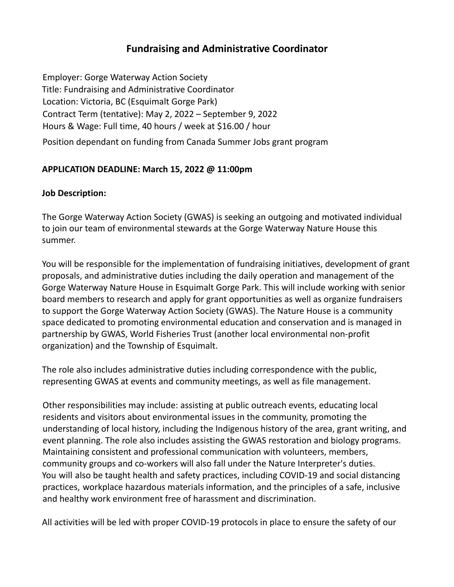# **Fundraising and Administrative Coordinator**

Employer: Gorge Waterway Action Society Title: Fundraising and Administrative Coordinator Location: Victoria, BC (Esquimalt Gorge Park) Contract Term (tentative): May 2, 2022 – September 9, 2022 Hours & Wage: Full time, 40 hours / week at \$16.00 / hour Position dependant on funding from Canada Summer Jobs grant program

#### **APPLICATION DEADLINE: March 15, 2022 @ 11:00pm**

#### **Job Description:**

The Gorge Waterway Action Society (GWAS) is seeking an outgoing and motivated individual to join our team of environmental stewards at the Gorge Waterway Nature House this summer.

You will be responsible for the implementation of fundraising initiatives, development of grant proposals, and administrative duties including the daily operation and management of the Gorge Waterway Nature House in Esquimalt Gorge Park. This will include working with senior board members to research and apply for grant opportunities as well as organize fundraisers to support the Gorge Waterway Action Society (GWAS). The Nature House is a community space dedicated to promoting environmental education and conservation and is managed in partnership by GWAS, World Fisheries Trust (another local environmental non-profit organization) and the Township of Esquimalt.

The role also includes administrative duties including correspondence with the public, representing GWAS at events and community meetings, as well as file management.

Other responsibilities may include: assisting at public outreach events, educating local residents and visitors about environmental issues in the community, promoting the understanding of local history, including the Indigenous history of the area, grant writing, and event planning. The role also includes assisting the GWAS restoration and biology programs. Maintaining consistent and professional communication with volunteers, members, community groups and co-workers will also fall under the Nature Interpreter's duties. You will also be taught health and safety practices, including COVID-19 and social distancing practices, workplace hazardous materials information, and the principles of a safe, inclusive and healthy work environment free of harassment and discrimination.

All activities will be led with proper COVID-19 protocols in place to ensure the safety of our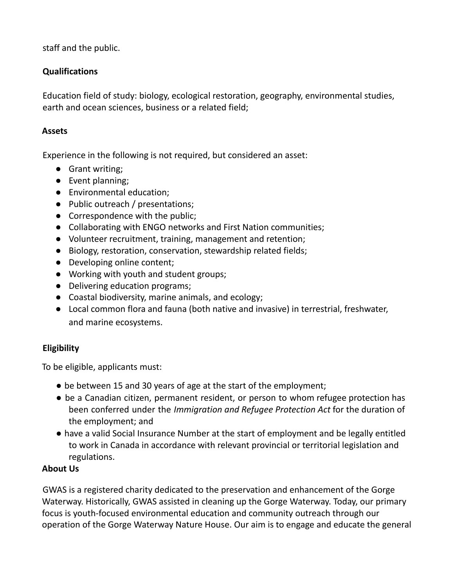staff and the public.

## **Qualifications**

Education field of study: biology, ecological restoration, geography, environmental studies, earth and ocean sciences, business or a related field;

### **Assets**

Experience in the following is not required, but considered an asset:

- Grant writing;
- Event planning;
- Environmental education;
- Public outreach / presentations;
- Correspondence with the public;
- Collaborating with ENGO networks and First Nation communities;
- Volunteer recruitment, training, management and retention;
- Biology, restoration, conservation, stewardship related fields;
- Developing online content;
- Working with youth and student groups;
- Delivering education programs;
- Coastal biodiversity, marine animals, and ecology;
- Local common flora and fauna (both native and invasive) in terrestrial, freshwater, and marine ecosystems.

# **Eligibility**

To be eligible, applicants must:

- be between 15 and 30 years of age at the start of the employment;
- be a Canadian citizen, permanent resident, or person to whom refugee protection has been conferred under the *Immigration and Refugee Protection Act* for the duration of the employment; and
- have a valid Social Insurance Number at the start of employment and be legally entitled to work in Canada in accordance with relevant provincial or territorial legislation and regulations.

### **About Us**

GWAS is a registered charity dedicated to the preservation and enhancement of the Gorge Waterway. Historically, GWAS assisted in cleaning up the Gorge Waterway. Today, our primary focus is youth-focused environmental education and community outreach through our operation of the Gorge Waterway Nature House. Our aim is to engage and educate the general